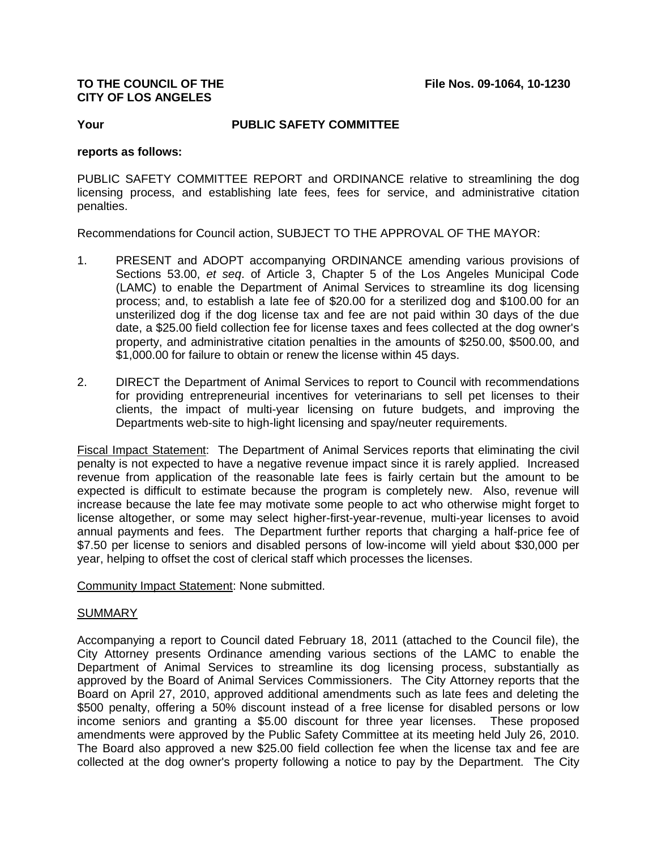## **CITY OF LOS ANGELES**

**Your PUBLIC SAFETY COMMITTEE**

## **reports as follows:**

PUBLIC SAFETY COMMITTEE REPORT and ORDINANCE relative to streamlining the dog licensing process, and establishing late fees, fees for service, and administrative citation penalties.

Recommendations for Council action, SUBJECT TO THE APPROVAL OF THE MAYOR:

- 1. PRESENT and ADOPT accompanying ORDINANCE amending various provisions of Sections 53.00, *et seq*. of Article 3, Chapter 5 of the Los Angeles Municipal Code (LAMC) to enable the Department of Animal Services to streamline its dog licensing process; and, to establish a late fee of \$20.00 for a sterilized dog and \$100.00 for an unsterilized dog if the dog license tax and fee are not paid within 30 days of the due date, a \$25.00 field collection fee for license taxes and fees collected at the dog owner's property, and administrative citation penalties in the amounts of \$250.00, \$500.00, and \$1,000.00 for failure to obtain or renew the license within 45 days.
- 2. DIRECT the Department of Animal Services to report to Council with recommendations for providing entrepreneurial incentives for veterinarians to sell pet licenses to their clients, the impact of multi-year licensing on future budgets, and improving the Departments web-site to high-light licensing and spay/neuter requirements.

Fiscal Impact Statement: The Department of Animal Services reports that eliminating the civil penalty is not expected to have a negative revenue impact since it is rarely applied. Increased revenue from application of the reasonable late fees is fairly certain but the amount to be expected is difficult to estimate because the program is completely new. Also, revenue will increase because the late fee may motivate some people to act who otherwise might forget to license altogether, or some may select higher-first-year-revenue, multi-year licenses to avoid annual payments and fees. The Department further reports that charging a half-price fee of \$7.50 per license to seniors and disabled persons of low-income will yield about \$30,000 per year, helping to offset the cost of clerical staff which processes the licenses.

Community Impact Statement: None submitted.

## SUMMARY

Accompanying a report to Council dated February 18, 2011 (attached to the Council file), the City Attorney presents Ordinance amending various sections of the LAMC to enable the Department of Animal Services to streamline its dog licensing process, substantially as approved by the Board of Animal Services Commissioners. The City Attorney reports that the Board on April 27, 2010, approved additional amendments such as late fees and deleting the \$500 penalty, offering a 50% discount instead of a free license for disabled persons or low income seniors and granting a \$5.00 discount for three year licenses. These proposed amendments were approved by the Public Safety Committee at its meeting held July 26, 2010. The Board also approved a new \$25.00 field collection fee when the license tax and fee are collected at the dog owner's property following a notice to pay by the Department. The City